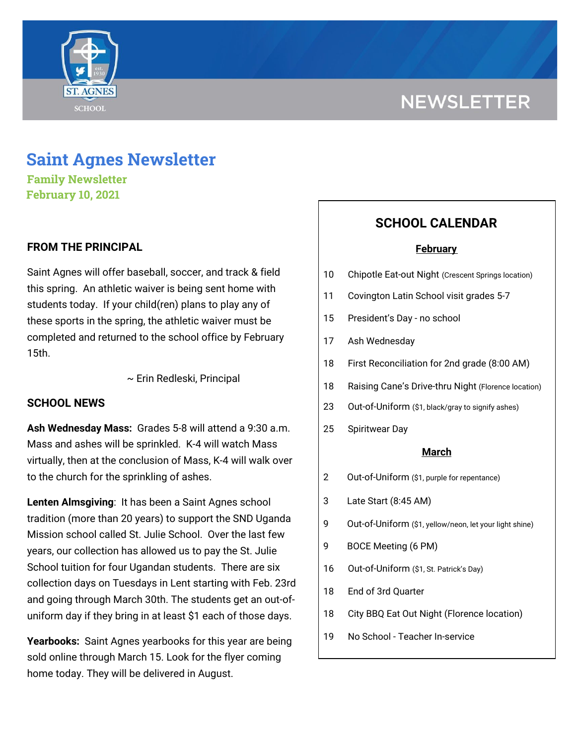



# **Saint Agnes Newsletter**

**Family Newsletter February 10, 2021**

# **FROM THE PRINCIPAL**

Saint Agnes will offer baseball, soccer, and track & field this spring. An athletic waiver is being sent home with students today. If your child(ren) plans to play any of these sports in the spring, the athletic waiver must be completed and returned to the school office by February 15th.

~ Erin Redleski, Principal

### **SCHOOL NEWS**

**Ash Wednesday Mass:** Grades 5-8 will attend a 9:30 a.m. Mass and ashes will be sprinkled. K-4 will watch Mass virtually, then at the conclusion of Mass, K-4 will walk over to the church for the sprinkling of ashes.

**Lenten Almsgiving**: It has been a Saint Agnes school tradition (more than 20 years) to support the SND Uganda Mission school called St. Julie School. Over the last few years, our collection has allowed us to pay the St. Julie School tuition for four Ugandan students. There are six collection days on Tuesdays in Lent starting with Feb. 23rd and going through March 30th. The students get an out-ofuniform day if they bring in at least \$1 each of those days.

**Yearbooks:** Saint Agnes yearbooks for this year are being sold online through March 15. Look for the flyer coming home today. They will be delivered in August.

# **SCHOOL CALENDAR**

#### **February**

- 10 Chipotle Eat-out Night (Crescent Springs location)
- 11 Covington Latin School visit grades 5-7
- 15 President's Day no school
- 17 Ash Wednesday
- 18 First Reconciliation for 2nd grade (8:00 AM)
- 18 Raising Cane's Drive-thru Night (Florence location)
- 23 Out-of-Uniform (\$1, black/gray to signify ashes)
- 25 Spiritwear Day

#### **March**

- 2 Out-of-Uniform (\$1, purple for repentance)
- 3 Late Start (8:45 AM)
- 9 Out-of-Uniform (\$1, yellow/neon, let your light shine)
- 9 BOCE Meeting (6 PM)
- 16 Out-of-Uniform (\$1, St. Patrick's Day)
- 18 End of 3rd Quarter
- 18 City BBQ Eat Out Night (Florence location)
- 19 No School Teacher In-service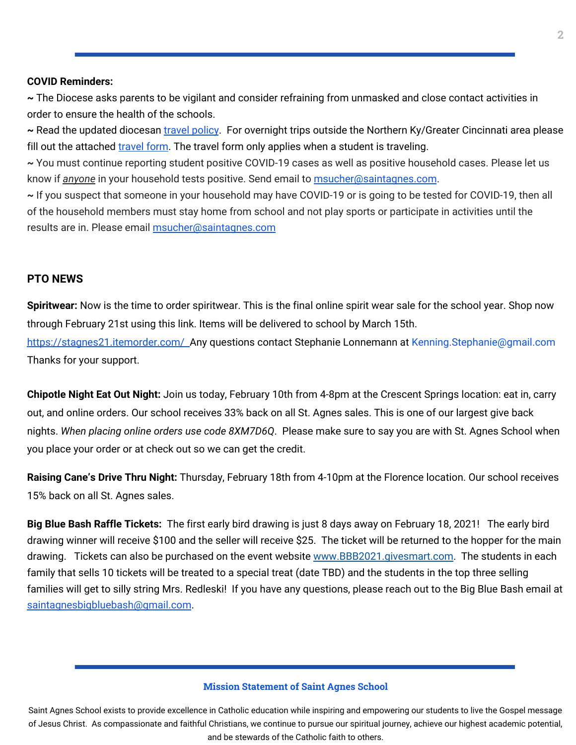#### **COVID Reminders:**

**~** The Diocese asks parents to be vigilant and consider refraining from unmasked and close contact activities in order to ensure the health of the schools.

**~** Read the updated diocesan travel [policy](https://school.saintagnes.com/wp-content/uploads/2021/02/Travel-Quarentine-Update-Feb.-2021.pdf). For overnight trips outside the Northern Ky/Greater Cincinnati area please fill out the attached [travel](https://docs.google.com/forms/d/1G4JmfFWk29Sxg_3O81r5EB0F7IYJyTofEAGJ9wd5aO4/edit?ts=5f985dbb&gxids=7628) form. The travel form only applies when a student is traveling.

**~** You must continue reporting student positive COVID-19 cases as well as positive household cases. Please let us know if *anyone* in your household tests positive. Send email to [msucher@saintagnes.com](mailto:msucher@saintagnes.com).

**~** If you suspect that someone in your household may have COVID-19 or is going to be tested for COVID-19, then all of the household members must stay home from school and not play sports or participate in activities until the results are in. Please email **[msucher@saintagnes.com](mailto:msucher@saintagnes.com)** 

#### **PTO NEWS**

**Spiritwear:** Now is the time to order spiritwear. This is the final online spirit wear sale for the school year. Shop now through February 21st using this link. Items will be delivered to school by March 15th.

<https://stagnes21.itemorder.com/> Any questions contact Stephanie Lonnemann at Kenning.Stephanie@gmail.com Thanks for your support.

**Chipotle Night Eat Out Night:** Join us today, February 10th from 4-8pm at the Crescent Springs location: eat in, carry out, and online orders. Our school receives 33% back on all St. Agnes sales. This is one of our largest give back nights. *When placing online orders use code 8XM7D6Q*. Please make sure to say you are with St. Agnes School when you place your order or at check out so we can get the credit.

**Raising Cane's Drive Thru Night:** Thursday, February 18th from 4-10pm at the Florence location. Our school receives 15% back on all St. Agnes sales.

**Big Blue Bash Raffle Tickets:** The first early bird drawing is just 8 days away on February 18, 2021! The early bird drawing winner will receive \$100 and the seller will receive \$25. The ticket will be returned to the hopper for the main drawing. Tickets can also be purchased on the event website [www.BBB2021.givesmart.com](http://www.bbb2021.givesmart.com/). The students in each family that sells 10 tickets will be treated to a special treat (date TBD) and the students in the top three selling families will get to silly string Mrs. Redleski! If you have any questions, please reach out to the Big Blue Bash email at [saintagnesbigbluebash@gmail.com](mailto:saintagnesbigbluebash@gmail.com).

#### **Mission Statement of Saint Agnes School**

Saint Agnes School exists to provide excellence in Catholic education while inspiring and empowering our students to live the Gospel message of Jesus Christ. As compassionate and faithful Christians, we continue to pursue our spiritual journey, achieve our highest academic potential, and be stewards of the Catholic faith to others.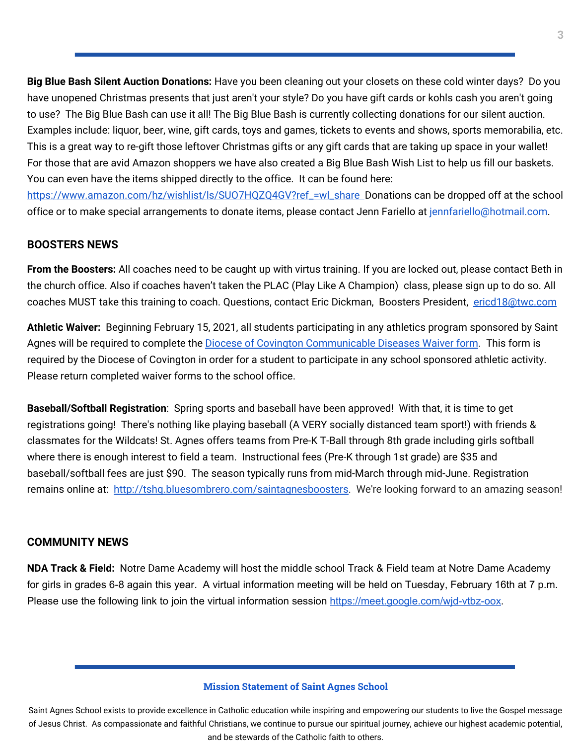**Big Blue Bash Silent Auction Donations:** Have you been cleaning out your closets on these cold winter days? Do you have unopened Christmas presents that just aren't your style? Do you have gift cards or kohls cash you aren't going to use? The Big Blue Bash can use it all! The Big Blue Bash is currently collecting donations for our silent auction. Examples include: liquor, beer, wine, gift cards, toys and games, tickets to events and shows, sports memorabilia, etc. This is a great way to re-gift those leftover Christmas gifts or any gift cards that are taking up space in your wallet! For those that are avid Amazon shoppers we have also created a Big Blue Bash Wish List to help us fill our baskets. You can even have the items shipped directly to the office. It can be found here:

[https://www.amazon.com/hz/wishlist/ls/SUO7HQZQ4GV?ref\\_=wl\\_share](https://www.amazon.com/hz/wishlist/ls/SUO7HQZQ4GV?ref_=wl_share) Donations can be dropped off at the school office or to make special arrangements to donate items, please contact Jenn Fariello at jennfariello@hotmail.com.

# **BOOSTERS NEWS**

**From the Boosters:** All coaches need to be caught up with virtus training. If you are locked out, please contact Beth in the church office. Also if coaches haven't taken the PLAC (Play Like A Champion) class, please sign up to do so. All coaches MUST take this training to coach. Questions, contact Eric Dickman, Boosters President, [ericd18@twc.com](mailto:ericd18@twc.com)

**Athletic Waiver:** Beginning February 15, 2021, all students participating in any athletics program sponsored by Saint Agnes will be required to complete the Diocese of Covington [Communicable](https://school.saintagnes.com/wp-content/uploads/2021/02/Sports-COVID-19-Waiver-2021.pdf) Diseases Waiver form. This form is required by the Diocese of Covington in order for a student to participate in any school sponsored athletic activity. Please return completed waiver forms to the school office.

**Baseball/Softball Registration**: Spring sports and baseball have been approved! With that, it is time to get registrations going! There's nothing like playing baseball (A VERY socially distanced team sport!) with friends & classmates for the Wildcats! St. Agnes offers teams from Pre-K T-Ball through 8th grade including girls softball where there is enough interest to field a team. Instructional fees (Pre-K through 1st grade) are \$35 and baseball/softball fees are just \$90. The season typically runs from mid-March through mid-June. Registration remains online at: <http://tshq.bluesombrero.com/saintagnesboosters>. We're looking forward to an amazing season!

### **COMMUNITY NEWS**

**NDA Track & Field:** Notre Dame Academy will host the middle school Track & Field team at Notre Dame Academy for girls in grades 6-8 again this year. A virtual information meeting will be held on Tuesday, February 16th at 7 p.m. Please use the following link to join the virtual information session <https://meet.google.com/wjd-vtbz-oox>.

#### **Mission Statement of Saint Agnes School**

Saint Agnes School exists to provide excellence in Catholic education while inspiring and empowering our students to live the Gospel message of Jesus Christ. As compassionate and faithful Christians, we continue to pursue our spiritual journey, achieve our highest academic potential, and be stewards of the Catholic faith to others.